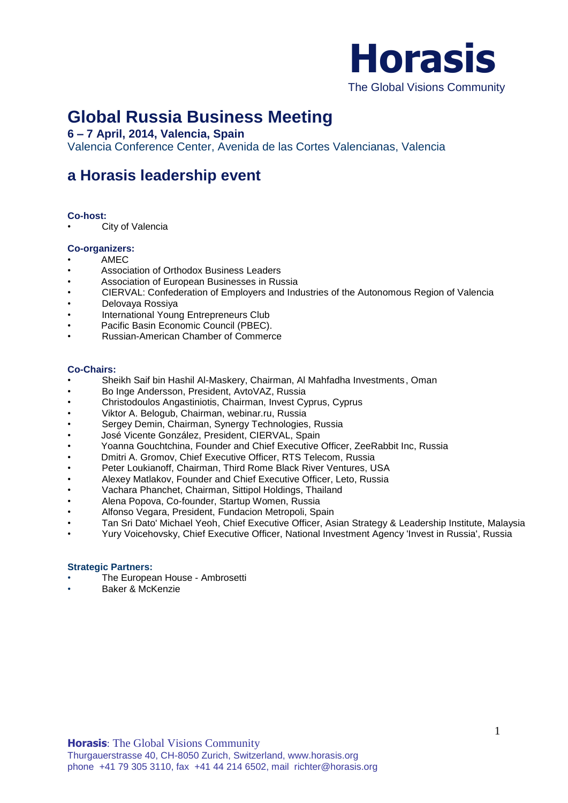

# **Global Russia Business Meeting**

## **6 – 7 April, 2014, Valencia, Spain**

Valencia Conference Center, Avenida de las Cortes Valencianas, Valencia

## **a Horasis leadership event**

#### **Co-host:**

**City of Valencia** 

#### **Co-organizers:**

- AMEC
- Association of Orthodox Business Leaders
- Association of European Businesses in Russia
- CIERVAL: Confederation of Employers and Industries of the Autonomous Region of Valencia
- Delovaya Rossiya
- International Young Entrepreneurs Club
- Pacific Basin Economic Council (PBEC).
- Russian-American Chamber of Commerce

#### **Co-Chairs:**

- Sheikh Saif bin Hashil Al-Maskery, Chairman, Al Mahfadha Investments, Oman
- Bo Inge Andersson, President, AvtoVAZ, Russia
- Christodoulos Angastiniotis, Chairman, Invest Cyprus, Cyprus
- Viktor A. Belogub, Chairman, webinar.ru, Russia
- Sergey Demin, Chairman, Synergy Technologies, Russia
- José Vicente González, President, CIERVAL, Spain
- Yoanna Gouchtchina, Founder and Chief Executive Officer, ZeeRabbit Inc, Russia
- Dmitri A. Gromov, Chief Executive Officer, RTS Telecom, Russia
- Peter Loukianoff, Chairman, Third Rome Black River Ventures, USA
- Alexey Matlakov, Founder and Chief Executive Officer, Leto, Russia
- Vachara Phanchet, Chairman, Sittipol Holdings, Thailand
- Alena Popova, Co-founder, Startup Women, Russia
- Alfonso Vegara, President, Fundacion Metropoli, Spain
- Tan Sri Dato' Michael Yeoh, Chief Executive Officer, Asian Strategy & Leadership Institute, Malaysia
- Yury Voicehovsky, Chief Executive Officer, National Investment Agency 'Invest in Russia', Russia

#### **Strategic Partners:**

- The European House Ambrosetti
- Baker & McKenzie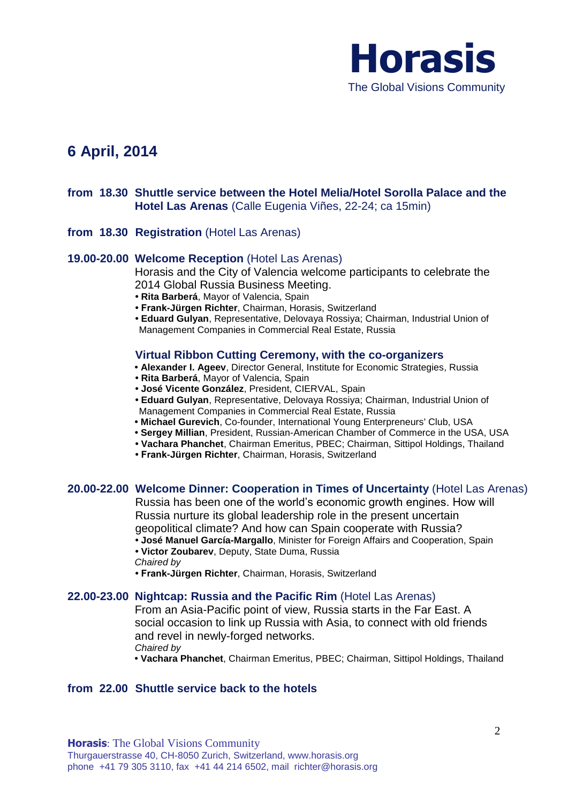

## **6 April, 2014**

## **from 18.30 Shuttle service between the Hotel Melia/Hotel Sorolla Palace and the Hotel Las Arenas** (Calle Eugenia Viñes, 22-24; ca 15min)

**from 18.30 Registration** (Hotel Las Arenas)

#### **19.00-20.00 Welcome Reception** (Hotel Las Arenas)

Horasis and the City of Valencia welcome participants to celebrate the 2014 Global Russia Business Meeting.

- **• Rita Barberá**, Mayor of Valencia, Spain
- **Frank-Jürgen Richter**, Chairman, Horasis, Switzerland
- **Eduard Gulyan**, Representative, Delovaya Rossiya; Chairman, Industrial Union of Management Companies in Commercial Real Estate, Russia

#### **Virtual Ribbon Cutting Ceremony, with the co-organizers**

- **Alexander I. Ageev**, Director General, Institute for Economic Strategies, Russia
- **Rita Barberá**, Mayor of Valencia, Spain
- **José Vicente González**, President, CIERVAL, Spain
- **Eduard Gulyan**, Representative, Delovaya Rossiya; Chairman, Industrial Union of Management Companies in Commercial Real Estate, Russia
- **Michael Gurevich**, Co-founder, International Young Enterpreneurs' Club, USA
- **Sergey Millian**, President, Russian-American Chamber of Commerce in the USA, USA
- **Vachara Phanchet**, Chairman Emeritus, PBEC; Chairman, Sittipol Holdings, Thailand
- **Frank-Jürgen Richter**, Chairman, Horasis, Switzerland

#### **20.00-22.00 Welcome Dinner: Cooperation in Times of Uncertainty** (Hotel Las Arenas)

Russia has been one of the world's economic growth engines. How will Russia nurture its global leadership role in the present uncertain geopolitical climate? And how can Spain cooperate with Russia?

**• José Manuel García-Margallo**, Minister for Foreign Affairs and Cooperation, Spain

**• Victor Zoubarev**, Deputy, State Duma, Russia *Chaired by* 

**• Frank-Jürgen Richter**, Chairman, Horasis, Switzerland

#### **22.00-23.00 Nightcap: Russia and the Pacific Rim** (Hotel Las Arenas)

From an Asia-Pacific point of view, Russia starts in the Far East. A social occasion to link up Russia with Asia, to connect with old friends and revel in newly-forged networks. *Chaired by*

**• Vachara Phanchet**, Chairman Emeritus, PBEC; Chairman, Sittipol Holdings, Thailand

## **from 22.00 Shuttle service back to the hotels**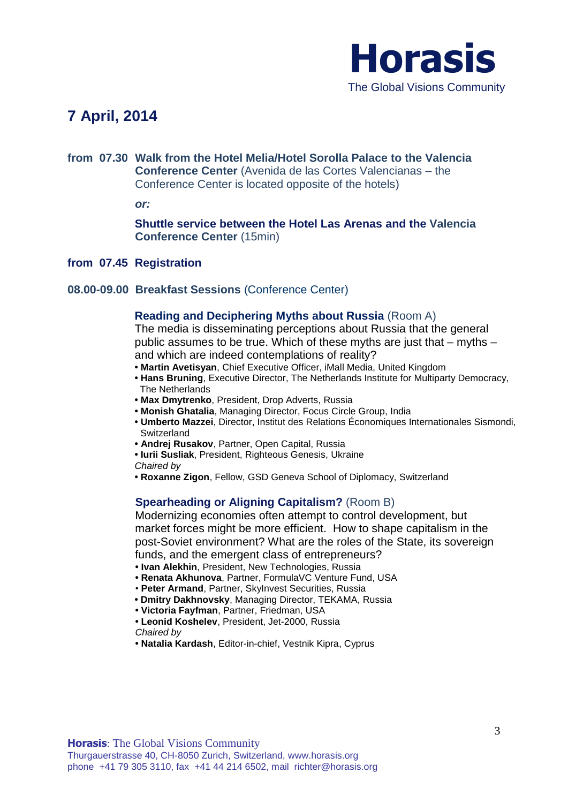

## **7 April, 2014**

## **from 07.30 Walk from the Hotel Melia/Hotel Sorolla Palace to the Valencia Conference Center** (Avenida de las Cortes Valencianas – the Conference Center is located opposite of the hotels)

*or:*

**Shuttle service between the Hotel Las Arenas and the Valencia Conference Center** (15min)

**from 07.45 Registration** 

#### **08.00-09.00 Breakfast Sessions** (Conference Center)

#### **Reading and Deciphering Myths about Russia** (Room A)

The media is disseminating perceptions about Russia that the general public assumes to be true. Which of these myths are just that – myths – and which are indeed contemplations of reality?

- **Martin Avetisyan**, Chief Executive Officer, iMall Media, United Kingdom
- **Hans Bruning**, Executive Director, The Netherlands Institute for Multiparty Democracy, The Netherlands
- **Max Dmytrenko**, President, Drop Adverts, Russia
- **Monish Ghatalia**, Managing Director, Focus Circle Group, India
- **Umberto Mazzei**, Director, Institut des Relations Économiques Internationales Sismondi, **Switzerland**
- **Andrej Rusakov**, Partner, Open Capital, Russia
- **• Iurii Susliak**, President, Righteous Genesis, Ukraine
- *Chaired by*
- **Roxanne Zigon**, Fellow, GSD Geneva School of Diplomacy, Switzerland

#### **Spearheading or Aligning Capitalism?** (Room B)

Modernizing economies often attempt to control development, but market forces might be more efficient. How to shape capitalism in the post-Soviet environment? What are the roles of the State, its sovereign funds, and the emergent class of entrepreneurs?

- **Ivan Alekhin**, President, New Technologies, Russia
- **Renata Akhunova**, Partner, FormulaVC Venture Fund, USA
- **Peter Armand**, Partner, SkyInvest Securities, Russia
- **Dmitry Dakhnovsky**, Managing Director, TEKAMA, Russia
- **Victoria Fayfman**, Partner, Friedman, USA
- **• Leonid Koshelev**, President, Jet-2000, Russia *Chaired by*
- **Natalia Kardash**, Editor-in-chief, Vestnik Kipra, Cyprus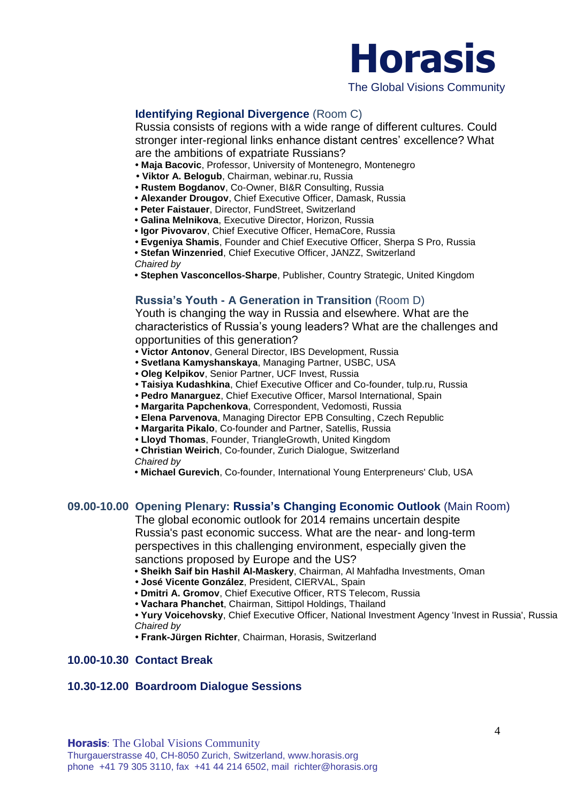

## **Identifying Regional Divergence** (Room C)

Russia consists of regions with a wide range of different cultures. Could stronger inter-regional links enhance distant centres' excellence? What are the ambitions of expatriate Russians?

- **Maja Bacovic**, Professor, University of Montenegro, Montenegro
- **Viktor A. Belogub**, Chairman, webinar.ru, Russia
- **Rustem Bogdanov**, Co-Owner, BI&R Consulting, Russia
- **Alexander Drougov**, Chief Executive Officer, Damask, Russia
- **Peter Faistauer**, Director, FundStreet, Switzerland
- **Galina Melnikova**, Executive Director, Horizon, Russia
- **Igor Pivovarov**, Chief Executive Officer, HemaCore, Russia
- **Evgeniya Shamis**, Founder and Chief Executive Officer, Sherpa S Pro, Russia
- **Stefan Winzenried**, Chief Executive Officer, JANZZ, Switzerland
- *Chaired by*
- **Stephen Vasconcellos-Sharpe**, Publisher, Country Strategic, United Kingdom

## **Russia's Youth - A Generation in Transition** (Room D)

Youth is changing the way in Russia and elsewhere. What are the characteristics of Russia's young leaders? What are the challenges and opportunities of this generation?

- **Victor Antonov**, General Director, IBS Development, Russia
- **Svetlana Kamyshanskaya**, Managing Partner, USBC, USA
- **Oleg Kelpikov**, Senior Partner, UCF Invest, Russia
- **Taisiya Kudashkina**, Chief Executive Officer and Co-founder, tulp.ru, Russia
- **• Pedro Manarguez**, Chief Executive Officer, Marsol International, Spain
- **Margarita Papchenkova**, Correspondent, Vedomosti, Russia
- **Elena Parvenova**, Managing Director EPB Consulting, Czech Republic
- **Margarita Pikalo**, Co-founder and Partner, Satellis, Russia
- **Lloyd Thomas**, Founder, TriangleGrowth, United Kingdom

**• Christian Weirich**, Co-founder, Zurich Dialogue, Switzerland *Chaired by*

**• Michael Gurevich**, Co-founder, International Young Enterpreneurs' Club, USA

#### **09.00-10.00 Opening Plenary: Russia's Changing Economic Outlook** (Main Room)

The global economic outlook for 2014 remains uncertain despite Russia's past economic success. What are the near- and long-term perspectives in this challenging environment, especially given the sanctions proposed by Europe and the US?

- **Sheikh Saif bin Hashil Al-Maskery**, Chairman, Al Mahfadha Investments, Oman
- **José Vicente González**, President, CIERVAL, Spain
- **Dmitri A. Gromov**, Chief Executive Officer, RTS Telecom, Russia
- **Vachara Phanchet**, Chairman, Sittipol Holdings, Thailand

**• Yury Voicehovsky**, Chief Executive Officer, National Investment Agency 'Invest in Russia', Russia *Chaired by* 

**• Frank-Jürgen Richter**, Chairman, Horasis, Switzerland

#### **10.00-10.30 Contact Break**

#### **10.30-12.00 Boardroom Dialogue Sessions**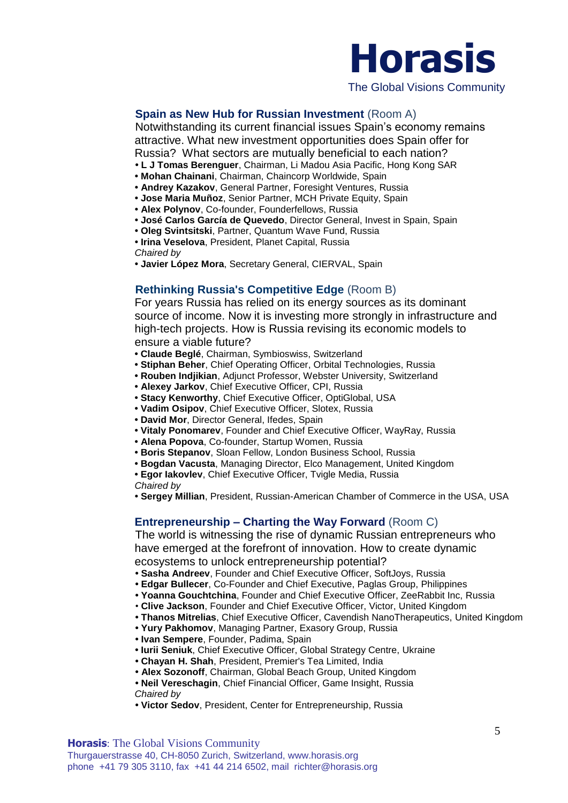

The Global Visions Community

### **Spain as New Hub for Russian Investment (Room A)**

Notwithstanding its current financial issues Spain's economy remains attractive. What new investment opportunities does Spain offer for Russia? What sectors are mutually beneficial to each nation?

- **L J Tomas Berenguer**, Chairman, Li Madou Asia Pacific, Hong Kong SAR
- **Mohan Chainani**, Chairman, Chaincorp Worldwide, Spain
- **Andrey Kazakov**, General Partner, Foresight Ventures, Russia
- **Jose Maria Muñoz**, Senior Partner, MCH Private Equity, Spain
- **Alex Polynov**, Co-founder, Founderfellows, Russia
- **José Carlos García de Quevedo**, Director General, Invest in Spain, Spain
- **Oleg Svintsitski**, Partner, Quantum Wave Fund, Russia
- **Irina Veselova**, President, Planet Capital, Russia

*Chaired by* 

**• Javier López Mora**, Secretary General, CIERVAL, Spain

#### **Rethinking Russia's Competitive Edge** (Room B)

For years Russia has relied on its energy sources as its dominant source of income. Now it is investing more strongly in infrastructure and high-tech projects. How is Russia revising its economic models to ensure a viable future?

- **Claude Beglé**, Chairman, Symbioswiss, Switzerland
- **Stiphan Beher**, Chief Operating Officer, Orbital Technologies, Russia
- **Rouben Indjikian**, Adjunct Professor, Webster University, Switzerland
- **Alexey Jarkov**, Chief Executive Officer, CPI, Russia
- **Stacy Kenworthy**, Chief Executive Officer, OptiGlobal, USA
- **Vadim Osipov**, Chief Executive Officer, Slotex, Russia
- **David Mor**, Director General, Ifedes, Spain
- **Vitaly Ponomarev**, Founder and Chief Executive Officer, WayRay, Russia
- **Alena Popova**, Co-founder, Startup Women, Russia
- **Boris Stepanov**, Sloan Fellow, London Business School, Russia
- **Bogdan Vacusta**, Managing Director, Elco Management, United Kingdom
- **• Egor Iakovlev**, Chief Executive Officer, Tvigle Media, Russia

*Chaired by* 

**• Sergey Millian**, President, Russian-American Chamber of Commerce in the USA, USA

#### **Entrepreneurship – Charting the Way Forward** (Room C)

The world is witnessing the rise of dynamic Russian entrepreneurs who have emerged at the forefront of innovation. How to create dynamic ecosystems to unlock entrepreneurship potential?

- **Sasha Andreev**, Founder and Chief Executive Officer, SoftJoys, Russia
- **Edgar Bullecer**, Co-Founder and Chief Executive, Paglas Group, Philippines
- **Yoanna Gouchtchina**, Founder and Chief Executive Officer, ZeeRabbit Inc, Russia
- **Clive Jackson**, Founder and Chief Executive Officer, Victor, United Kingdom
- **Thanos Mitrelias**, Chief Executive Officer, Cavendish NanoTherapeutics, United Kingdom
- **Yury Pakhomov**, Managing Partner, Exasory Group, Russia
- **Ivan Sempere**, Founder, Padima, Spain
- **Iurii Seniuk**, Chief Executive Officer, Global Strategy Centre, Ukraine
- **Chayan H. Shah**, President, Premier's Tea Limited, India
- **Alex Sozonoff**, Chairman, Global Beach Group, United Kingdom
- **Neil Vereschagin**, Chief Financial Officer, Game Insight, Russia *Chaired by*
- **Victor Sedov**, President, Center for Entrepreneurship, Russia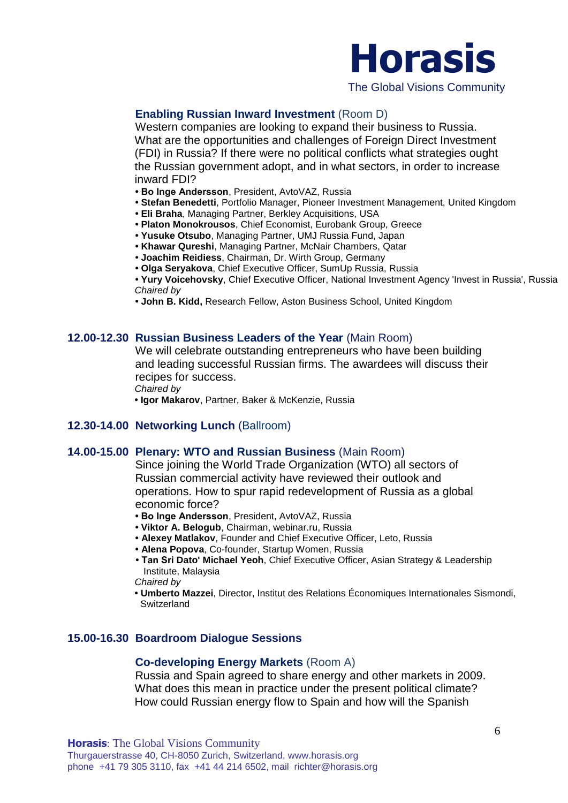

## **Enabling Russian Inward Investment** (Room D)

Western companies are looking to expand their business to Russia. What are the opportunities and challenges of Foreign Direct Investment (FDI) in Russia? If there were no political conflicts what strategies ought the Russian government adopt, and in what sectors, in order to increase inward FDI?

- **Bo Inge Andersson**, President, AvtoVAZ, Russia
- **Stefan Benedetti**, Portfolio Manager, Pioneer Investment Management, United Kingdom
- **Eli Braha**, Managing Partner, Berkley Acquisitions, USA
- **Platon Monokrousos**, Chief Economist, Eurobank Group, Greece
- **Yusuke Otsubo**, Managing Partner, UMJ Russia Fund, Japan
- **Khawar Qureshi**, Managing Partner, McNair Chambers, Qatar
- **Joachim Reidiess**, Chairman, Dr. Wirth Group, Germany
- **Olga Seryakova**, Chief Executive Officer, SumUp Russia, Russia

**• Yury Voicehovsky**, Chief Executive Officer, National Investment Agency 'Invest in Russia', Russia *Chaired by* 

**• John B. Kidd,** Research Fellow, Aston Business School, United Kingdom

### **12.00-12.30 Russian Business Leaders of the Year** (Main Room)

We will celebrate outstanding entrepreneurs who have been building and leading successful Russian firms. The awardees will discuss their recipes for success.

*Chaired by* 

**• Igor Makarov**, Partner, Baker & McKenzie, Russia

#### **12.30-14.00 Networking Lunch** (Ballroom)

#### **14.00-15.00 Plenary: WTO and Russian Business** (Main Room)

Since joining the World Trade Organization (WTO) all sectors of Russian commercial activity have reviewed their outlook and operations. How to spur rapid redevelopment of Russia as a global economic force?

- **Bo Inge Andersson**, President, AvtoVAZ, Russia
- **Viktor A. Belogub**, Chairman, webinar.ru, Russia
- **• Alexey Matlakov**, Founder and Chief Executive Officer, Leto, Russia
- **Alena Popova**, Co-founder, Startup Women, Russia
- **Tan Sri Dato' Michael Yeoh**, Chief Executive Officer, Asian Strategy & Leadership Institute, Malaysia

*Chaired by* 

**• Umberto Mazzei**, Director, Institut des Relations Économiques Internationales Sismondi, Switzerland

### **15.00-16.30 Boardroom Dialogue Sessions**

#### **Co-developing Energy Markets** (Room A)

Russia and Spain agreed to share energy and other markets in 2009. What does this mean in practice under the present political climate? How could Russian energy flow to Spain and how will the Spanish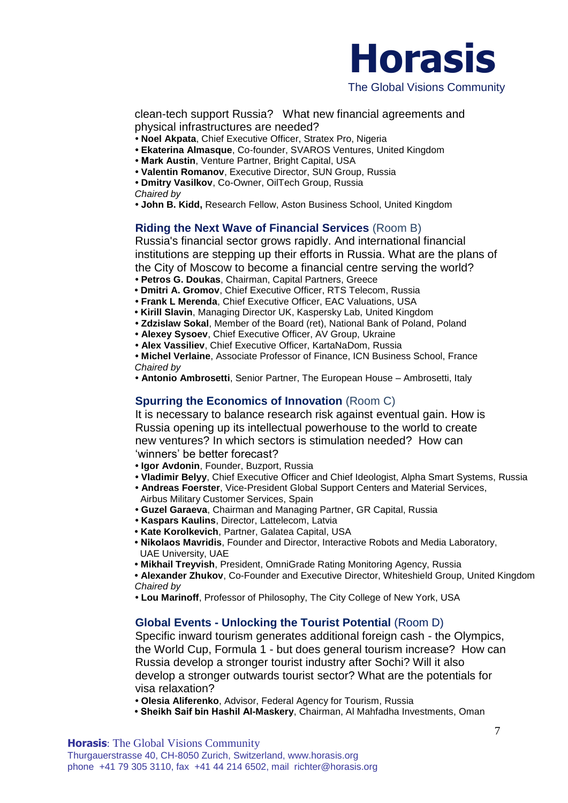

clean-tech support Russia? What new financial agreements and physical infrastructures are needed?

- **Noel Akpata**, Chief Executive Officer, Stratex Pro, Nigeria
- **Ekaterina Almasque**, Co-founder, SVAROS Ventures, United Kingdom
- **Mark Austin**, Venture Partner, Bright Capital, USA
- **Valentin Romanov**, Executive Director, SUN Group, Russia
- **Dmitry Vasilkov**, Co-Owner, OilTech Group, Russia

*Chaired by* 

**• John B. Kidd,** Research Fellow, Aston Business School, United Kingdom

### **Riding the Next Wave of Financial Services** (Room B)

Russia's financial sector grows rapidly. And international financial institutions are stepping up their efforts in Russia. What are the plans of the City of Moscow to become a financial centre serving the world? **• Petros G. Doukas**, Chairman, Capital Partners, Greece

- **Dmitri A. Gromov**, Chief Executive Officer, RTS Telecom, Russia
- **Frank L Merenda**, Chief Executive Officer, EAC Valuations, USA
- **Kirill Slavin**, Managing Director UK, Kaspersky Lab, United Kingdom
- **Zdzislaw Sokal**, Member of the Board (ret), National Bank of Poland, Poland
- **Alexey Sysoev**, Chief Executive Officer, AV Group, Ukraine
- **Alex Vassiliev**, Chief Executive Officer, KartaNaDom, Russia

**• Michel Verlaine**, Associate Professor of Finance, ICN Business School, France *Chaired by* 

**• Antonio Ambrosetti**, Senior Partner, The European House – Ambrosetti, Italy

#### **Spurring the Economics of Innovation** (Room C)

It is necessary to balance research risk against eventual gain. How is Russia opening up its intellectual powerhouse to the world to create new ventures? In which sectors is stimulation needed? How can 'winners' be better forecast?

- **Igor Avdonin**, Founder, Buzport, Russia
- **Vladimir Belyy**, Chief Executive Officer and Chief Ideologist, Alpha Smart Systems, Russia
- **Andreas Foerster**, Vice-President Global Support Centers and Material Services, Airbus Military Customer Services, Spain
- **Guzel Garaeva**, Chairman and Managing Partner, GR Capital, Russia
- **Kaspars Kaulins**, Director, Lattelecom, Latvia
- **Kate Korolkevich**, Partner, Galatea Capital, USA
- **Nikolaos Mavridis**, Founder and Director, Interactive Robots and Media Laboratory, UAE University, UAE
- **Mikhail Treyvish**, President, OmniGrade Rating Monitoring Agency, Russia

**• Alexander Zhukov**, Co-Founder and Executive Director, Whiteshield Group, United Kingdom *Chaired by* 

**• Lou Marinoff**, Professor of Philosophy, The City College of New York, USA

#### **Global Events - Unlocking the Tourist Potential** (Room D)

Specific inward tourism generates additional foreign cash - the Olympics, the World Cup, Formula 1 - but does general tourism increase? How can Russia develop a stronger tourist industry after Sochi? Will it also develop a stronger outwards tourist sector? What are the potentials for visa relaxation?

- **• Olesia Aliferenko**, Advisor, Federal Agency for Tourism, Russia
- **Sheikh Saif bin Hashil Al-Maskery**, Chairman, Al Mahfadha Investments, Oman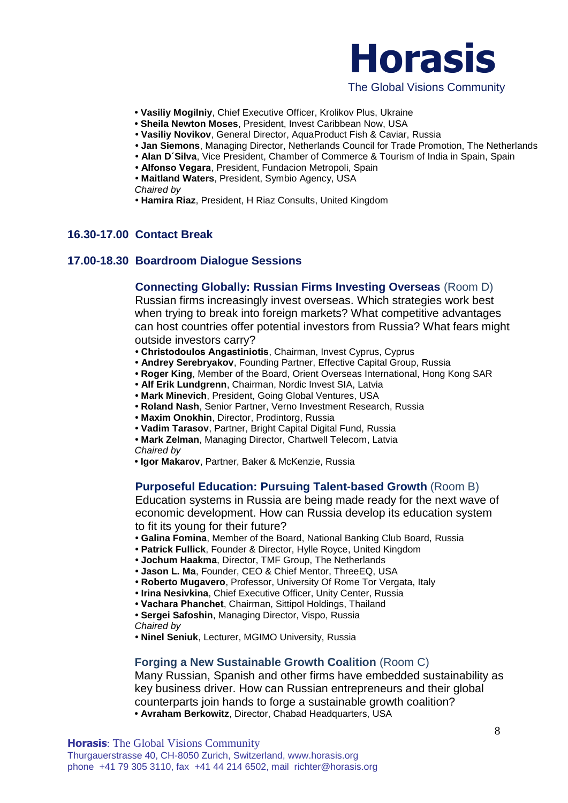

- **Vasiliy Mogilniy**, Chief Executive Officer, Krolikov Plus, Ukraine
- **Sheila Newton Moses**, President, Invest Caribbean Now, USA
- **• Vasiliy Novikov**, General Director, AquaProduct Fish & Caviar, Russia
- **• Jan Siemons**, Managing Director, Netherlands Council for Trade Promotion, The Netherlands
- **• Alan D´Silva**, Vice President, Chamber of Commerce & Tourism of India in Spain, Spain
- **Alfonso Vegara**, President, Fundacion Metropoli, Spain
- **• Maitland Waters**, President, Symbio Agency, USA

*Chaired by* 

**• Hamira Riaz**, President, H Riaz Consults, United Kingdom

#### **16.30-17.00 Contact Break**

#### **17.00-18.30 Boardroom Dialogue Sessions**

#### **Connecting Globally: Russian Firms Investing Overseas** (Room D)

Russian firms increasingly invest overseas. Which strategies work best when trying to break into foreign markets? What competitive advantages can host countries offer potential investors from Russia? What fears might outside investors carry?

- **Christodoulos Angastiniotis**, Chairman, Invest Cyprus, Cyprus
- **Andrey Serebryakov**, Founding Partner, Effective Capital Group, Russia
- **Roger King**, Member of the Board, Orient Overseas International, Hong Kong SAR
- **Alf Erik Lundgrenn**, Chairman, Nordic Invest SIA, Latvia
- **Mark Minevich**, President, Going Global Ventures, USA
- **Roland Nash**, Senior Partner, Verno Investment Research, Russia
- **Maxim Onokhin**, Director, Prodintorg, Russia
- **Vadim Tarasov**, Partner, Bright Capital Digital Fund, Russia
- **Mark Zelman**, Managing Director, Chartwell Telecom, Latvia

*Chaired by* 

**• Igor Makarov**, Partner, Baker & McKenzie, Russia

#### **Purposeful Education: Pursuing Talent-based Growth** (Room B)

Education systems in Russia are being made ready for the next wave of economic development. How can Russia develop its education system to fit its young for their future?

- **• Galina Fomina**, Member of the Board, National Banking Club Board, Russia
- **• Patrick Fullick**, Founder & Director, Hylle Royce, United Kingdom
- **• Jochum Haakma**, Director, TMF Group, The Netherlands
- **• Jason L. Ma**, Founder, CEO & Chief Mentor, ThreeEQ, USA
- **Roberto Mugavero**, Professor, University Of Rome Tor Vergata, Italy
- **Irina Nesivkina**, Chief Executive Officer, Unity Center, Russia
- **Vachara Phanchet**, Chairman, Sittipol Holdings, Thailand
- **Sergei Safoshin**, Managing Director, Vispo, Russia
- *Chaired by*

**• Ninel Seniuk**, Lecturer, MGIMO University, Russia

#### **Forging a New Sustainable Growth Coalition** (Room C)

Many Russian, Spanish and other firms have embedded sustainability as key business driver. How can Russian entrepreneurs and their global counterparts join hands to forge a sustainable growth coalition? **• Avraham Berkowitz**, Director, Chabad Headquarters, USA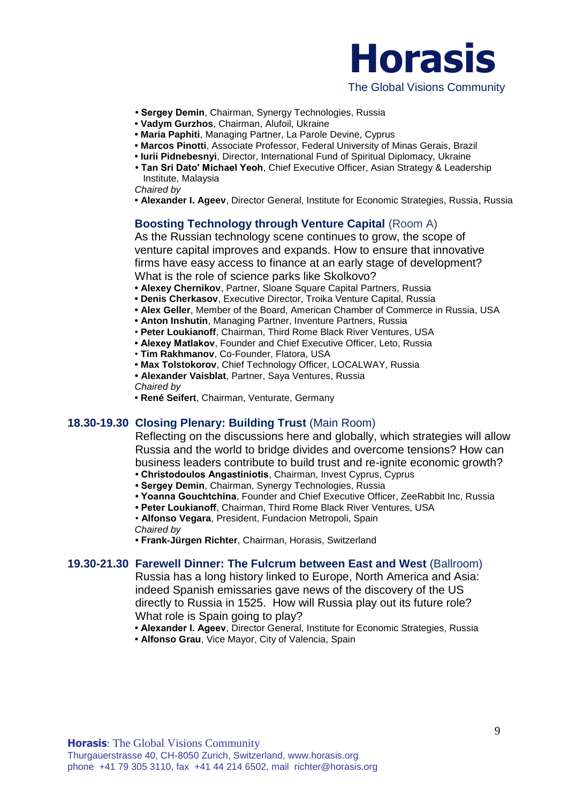

- **Sergey Demin**, Chairman, Synergy Technologies, Russia
- **Vadym Gurzhos**, Chairman, Alufoil, Ukraine
- **Maria Paphiti**, Managing Partner, La Parole Devine, Cyprus
- **Marcos Pinotti**, Associate Professor, Federal University of Minas Gerais, Brazil
- **Iurii Pidnebesnyi**, Director, International Fund of Spiritual Diplomacy, Ukraine
- **Tan Sri Dato' Michael Yeoh**, Chief Executive Officer, Asian Strategy & Leadership Institute, Malaysia

*Chaired by* 

**• Alexander I. Ageev**, Director General, Institute for Economic Strategies, Russia, Russia

## **Boosting Technology through Venture Capital (Room A)**

As the Russian technology scene continues to grow, the scope of venture capital improves and expands. How to ensure that innovative firms have easy access to finance at an early stage of development? What is the role of science parks like Skolkovo?

- **• Alexey Chernikov**, Partner, Sloane Square Capital Partners, Russia
- **• Denis Cherkasov**, Executive Director, Troika Venture Capital, Russia
- **• Alex Geller**, Member of the Board, American Chamber of Commerce in Russia, USA
- **• Anton Inshutin**, Managing Partner, Inventure Partners, Russia
- **Peter Loukianoff**, Chairman, Third Rome Black River Ventures, USA
- **Alexey Matlakov**, Founder and Chief Executive Officer, Leto, Russia
- **Tim Rakhmanov**, Co-Founder, Flatora, USA
- **Max Tolstokorov**, Chief Technology Officer, LOCALWAY, Russia
- **Alexander Vaisblat**, Partner, Saya Ventures, Russia

*Chaired by* 

**• René Seifert**, Chairman, Venturate, Germany

#### **18.30-19.30 Closing Plenary: Building Trust** (Main Room)

Reflecting on the discussions here and globally, which strategies will allow Russia and the world to bridge divides and overcome tensions? How can business leaders contribute to build trust and re-ignite economic growth?

- **Christodoulos Angastiniotis**, Chairman, Invest Cyprus, Cyprus
- **Sergey Demin**, Chairman, Synergy Technologies, Russia
- **Yoanna Gouchtchina**, Founder and Chief Executive Officer, ZeeRabbit Inc, Russia
- **Peter Loukianoff**, Chairman, Third Rome Black River Ventures, USA

• **Alfonso Vegara**, President, Fundacion Metropoli, Spain *Chaired by* 

**• Frank-Jürgen Richter**, Chairman, Horasis, Switzerland

#### **19.30-21.30 Farewell Dinner: The Fulcrum between East and West** (Ballroom)

Russia has a long history linked to Europe, North America and Asia: indeed Spanish emissaries gave news of the discovery of the US directly to Russia in 1525. How will Russia play out its future role? What role is Spain going to play?

- **Alexander I. Ageev**, Director General, Institute for Economic Strategies, Russia
- **Alfonso Grau**, Vice Mayor, City of Valencia, Spain